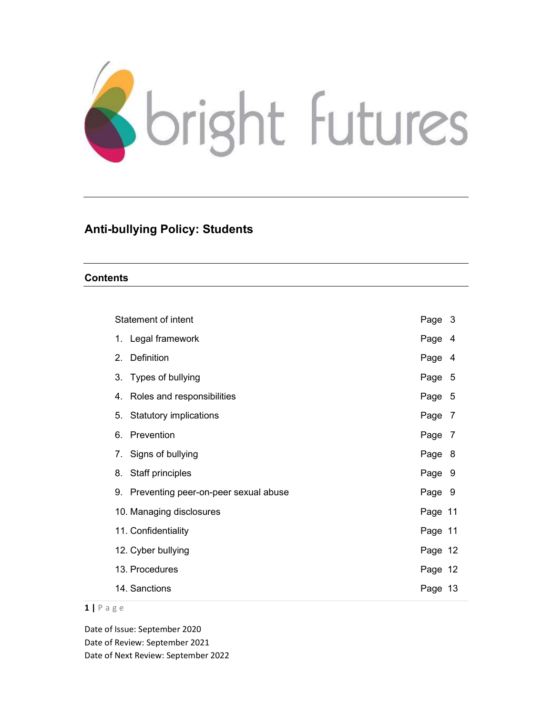

# Anti-bullying Policy: Students

### **Contents**

| Statement of intent                     | Page 3     |
|-----------------------------------------|------------|
| 1. Legal framework                      | Page<br>4  |
| Definition<br>2.                        | Page<br>-4 |
| Types of bullying<br>3.                 | Page 5     |
| Roles and responsibilities<br>4.        | Page 5     |
| 5.<br><b>Statutory implications</b>     | Page 7     |
| Prevention<br>6.                        | Page 7     |
| Signs of bullying<br>7.                 | Page 8     |
| Staff principles<br>8.                  | Page 9     |
| 9. Preventing peer-on-peer sexual abuse | Page 9     |
| 10. Managing disclosures                | Page 11    |
| 11. Confidentiality                     | Page 11    |
| 12. Cyber bullying                      | Page 12    |
| 13. Procedures                          | Page 12    |
| 14. Sanctions                           | Page 13    |

#### $1 | P$  a g e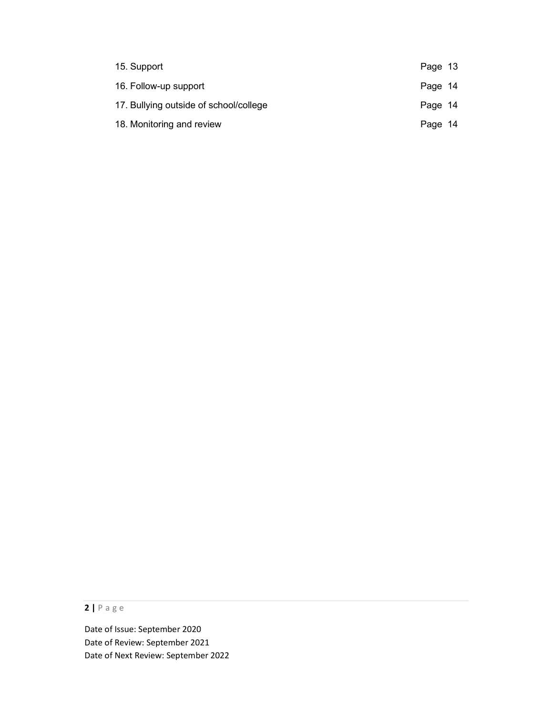| 15. Support                            | Page 13 |  |
|----------------------------------------|---------|--|
| 16. Follow-up support                  | Page 14 |  |
| 17. Bullying outside of school/college | Page 14 |  |
| 18. Monitoring and review              | Page 14 |  |

2 | P a g e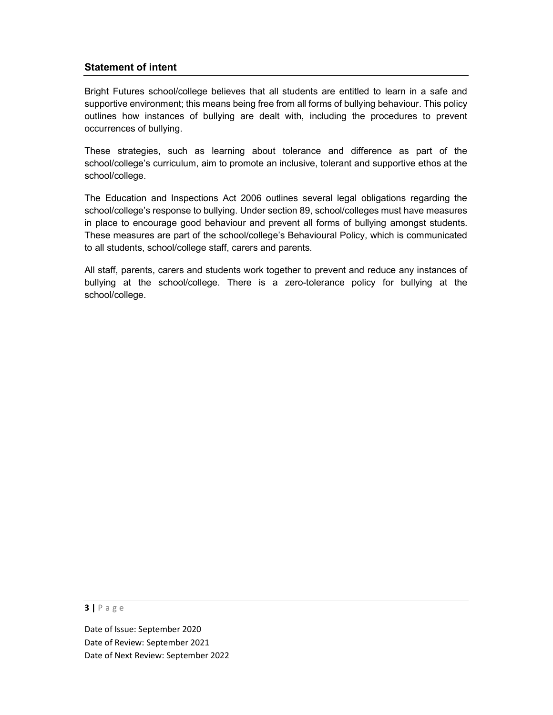# Statement of intent

Bright Futures school/college believes that all students are entitled to learn in a safe and supportive environment; this means being free from all forms of bullying behaviour. This policy outlines how instances of bullying are dealt with, including the procedures to prevent occurrences of bullying.

These strategies, such as learning about tolerance and difference as part of the school/college's curriculum, aim to promote an inclusive, tolerant and supportive ethos at the school/college.

The Education and Inspections Act 2006 outlines several legal obligations regarding the school/college's response to bullying. Under section 89, school/colleges must have measures in place to encourage good behaviour and prevent all forms of bullying amongst students. These measures are part of the school/college's Behavioural Policy, which is communicated to all students, school/college staff, carers and parents.

All staff, parents, carers and students work together to prevent and reduce any instances of bullying at the school/college. There is a zero-tolerance policy for bullying at the school/college.

#### $3$  | P a g e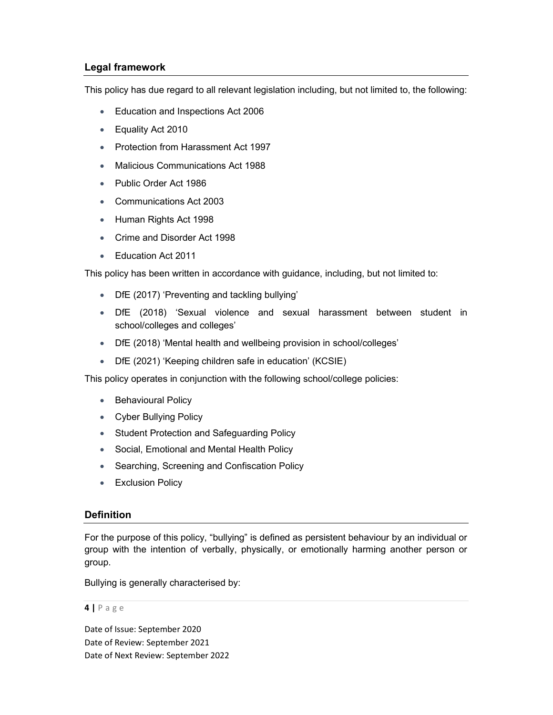# Legal framework

This policy has due regard to all relevant legislation including, but not limited to, the following:

- **Education and Inspections Act 2006**
- Equality Act 2010
- Protection from Harassment Act 1997
- Malicious Communications Act 1988
- Public Order Act 1986
- Communications Act 2003
- Human Rights Act 1998
- Crime and Disorder Act 1998
- Education Act 2011

This policy has been written in accordance with guidance, including, but not limited to:

- DfE (2017) 'Preventing and tackling bullying'
- DfE (2018) 'Sexual violence and sexual harassment between student in school/colleges and colleges'
- DfE (2018) 'Mental health and wellbeing provision in school/colleges'
- DfE (2021) 'Keeping children safe in education' (KCSIE)

This policy operates in conjunction with the following school/college policies:

- Behavioural Policy
- Cyber Bullying Policy
- Student Protection and Safeguarding Policy
- Social, Emotional and Mental Health Policy
- Searching, Screening and Confiscation Policy
- **Exclusion Policy**

### **Definition**

For the purpose of this policy, "bullying" is defined as persistent behaviour by an individual or group with the intention of verbally, physically, or emotionally harming another person or group.

Bullying is generally characterised by:

#### $4 | P \text{ age}$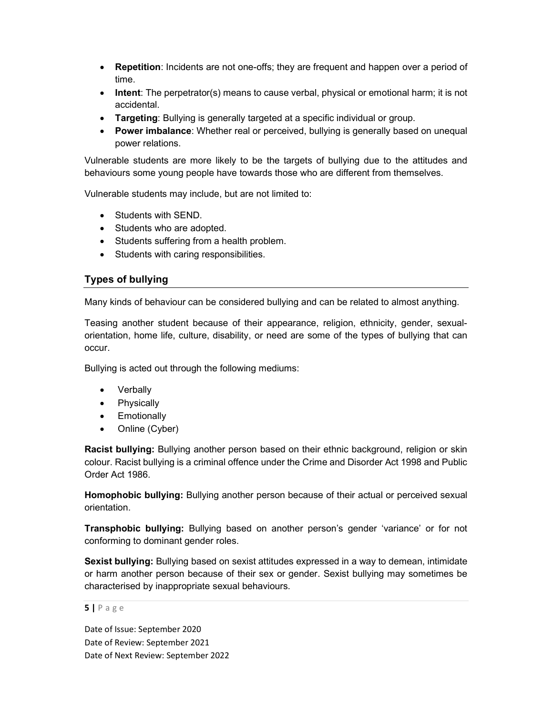- Repetition: Incidents are not one-offs; they are frequent and happen over a period of time.
- Intent: The perpetrator(s) means to cause verbal, physical or emotional harm; it is not accidental.
- Targeting: Bullying is generally targeted at a specific individual or group.
- Power imbalance: Whether real or perceived, bullying is generally based on unequal power relations.

Vulnerable students are more likely to be the targets of bullying due to the attitudes and behaviours some young people have towards those who are different from themselves.

Vulnerable students may include, but are not limited to:

- Students with SEND.
- Students who are adopted.
- Students suffering from a health problem.
- Students with caring responsibilities.

# Types of bullying

Many kinds of behaviour can be considered bullying and can be related to almost anything.

Teasing another student because of their appearance, religion, ethnicity, gender, sexualorientation, home life, culture, disability, or need are some of the types of bullying that can occur.

Bullying is acted out through the following mediums:

- Verbally
- Physically
- Emotionally
- Online (Cyber)

Racist bullying: Bullying another person based on their ethnic background, religion or skin colour. Racist bullying is a criminal offence under the Crime and Disorder Act 1998 and Public Order Act 1986.

Homophobic bullying: Bullying another person because of their actual or perceived sexual orientation.

Transphobic bullying: Bullying based on another person's gender 'variance' or for not conforming to dominant gender roles.

Sexist bullying: Bullying based on sexist attitudes expressed in a way to demean, intimidate or harm another person because of their sex or gender. Sexist bullying may sometimes be characterised by inappropriate sexual behaviours.

#### $5$  | P a g e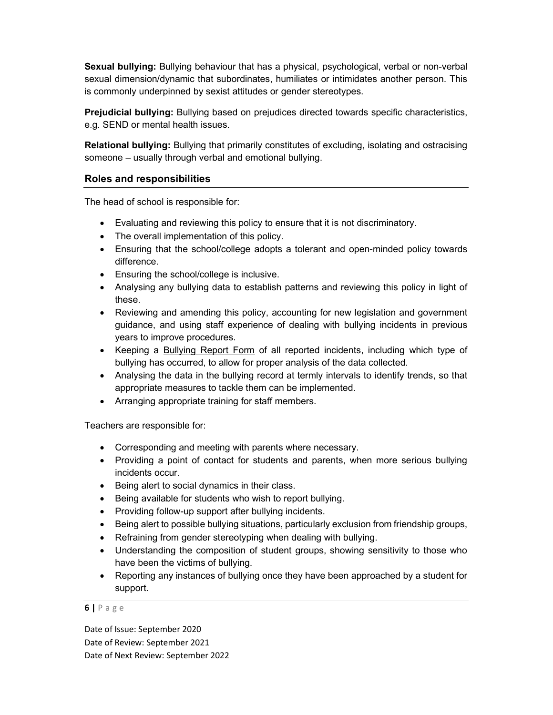Sexual bullying: Bullying behaviour that has a physical, psychological, verbal or non-verbal sexual dimension/dynamic that subordinates, humiliates or intimidates another person. This is commonly underpinned by sexist attitudes or gender stereotypes.

**Prejudicial bullying:** Bullying based on prejudices directed towards specific characteristics, e.g. SEND or mental health issues.

Relational bullying: Bullying that primarily constitutes of excluding, isolating and ostracising someone – usually through verbal and emotional bullying.

# Roles and responsibilities

The head of school is responsible for:

- Evaluating and reviewing this policy to ensure that it is not discriminatory.
- The overall implementation of this policy.
- Ensuring that the school/college adopts a tolerant and open-minded policy towards difference.
- Ensuring the school/college is inclusive.
- Analysing any bullying data to establish patterns and reviewing this policy in light of these.
- Reviewing and amending this policy, accounting for new legislation and government guidance, and using staff experience of dealing with bullying incidents in previous years to improve procedures.
- Keeping a Bullying Report Form of all reported incidents, including which type of bullying has occurred, to allow for proper analysis of the data collected.
- Analysing the data in the bullying record at termly intervals to identify trends, so that appropriate measures to tackle them can be implemented.
- Arranging appropriate training for staff members.

Teachers are responsible for:

- Corresponding and meeting with parents where necessary.
- Providing a point of contact for students and parents, when more serious bullying incidents occur.
- Being alert to social dynamics in their class.
- Being available for students who wish to report bullying.
- Providing follow-up support after bullying incidents.
- Being alert to possible bullying situations, particularly exclusion from friendship groups,
- Refraining from gender stereotyping when dealing with bullying.
- Understanding the composition of student groups, showing sensitivity to those who have been the victims of bullying.
- Reporting any instances of bullying once they have been approached by a student for support.

#### $6$  | P a g e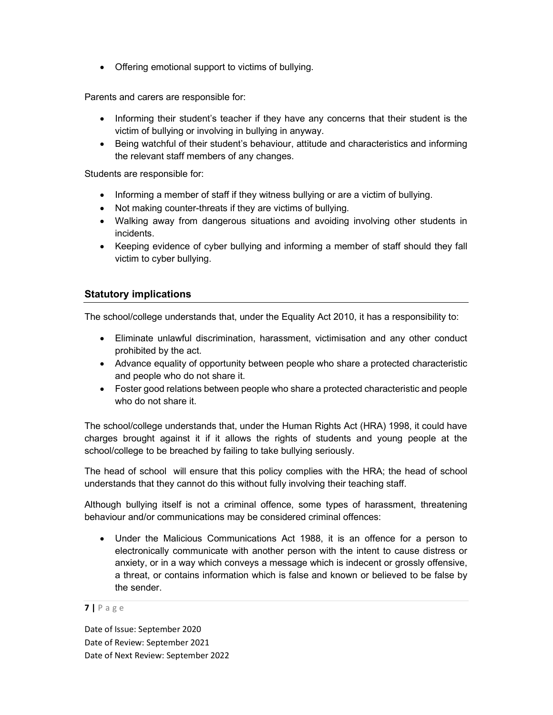• Offering emotional support to victims of bullying.

Parents and carers are responsible for:

- Informing their student's teacher if they have any concerns that their student is the victim of bullying or involving in bullying in anyway.
- Being watchful of their student's behaviour, attitude and characteristics and informing the relevant staff members of any changes.

Students are responsible for:

- Informing a member of staff if they witness bullying or are a victim of bullying.
- Not making counter-threats if they are victims of bullying.
- Walking away from dangerous situations and avoiding involving other students in incidents.
- Keeping evidence of cyber bullying and informing a member of staff should they fall victim to cyber bullying.

# Statutory implications

The school/college understands that, under the Equality Act 2010, it has a responsibility to:

- Eliminate unlawful discrimination, harassment, victimisation and any other conduct prohibited by the act.
- Advance equality of opportunity between people who share a protected characteristic and people who do not share it.
- Foster good relations between people who share a protected characteristic and people who do not share it.

The school/college understands that, under the Human Rights Act (HRA) 1998, it could have charges brought against it if it allows the rights of students and young people at the school/college to be breached by failing to take bullying seriously.

The head of school will ensure that this policy complies with the HRA; the head of school understands that they cannot do this without fully involving their teaching staff.

Although bullying itself is not a criminal offence, some types of harassment, threatening behaviour and/or communications may be considered criminal offences:

 Under the Malicious Communications Act 1988, it is an offence for a person to electronically communicate with another person with the intent to cause distress or anxiety, or in a way which conveys a message which is indecent or grossly offensive, a threat, or contains information which is false and known or believed to be false by the sender.

```
7| P a g e
```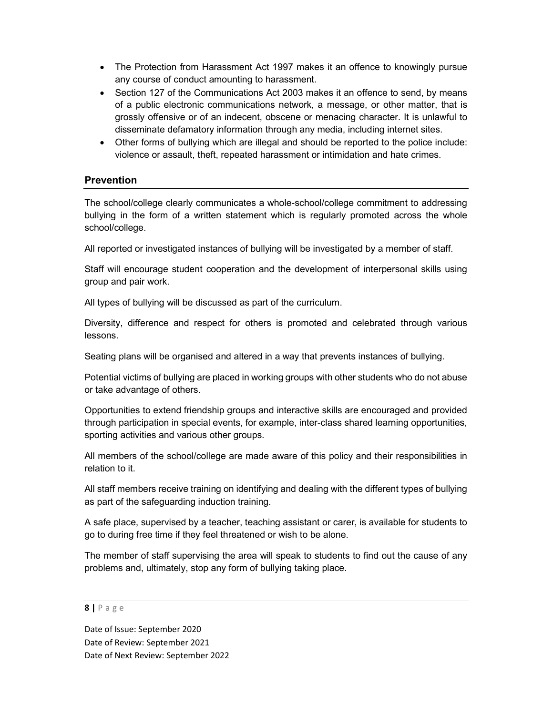- The Protection from Harassment Act 1997 makes it an offence to knowingly pursue any course of conduct amounting to harassment.
- Section 127 of the Communications Act 2003 makes it an offence to send, by means of a public electronic communications network, a message, or other matter, that is grossly offensive or of an indecent, obscene or menacing character. It is unlawful to disseminate defamatory information through any media, including internet sites.
- Other forms of bullying which are illegal and should be reported to the police include: violence or assault, theft, repeated harassment or intimidation and hate crimes.

# **Prevention**

The school/college clearly communicates a whole-school/college commitment to addressing bullying in the form of a written statement which is regularly promoted across the whole school/college.

All reported or investigated instances of bullying will be investigated by a member of staff.

Staff will encourage student cooperation and the development of interpersonal skills using group and pair work.

All types of bullying will be discussed as part of the curriculum.

Diversity, difference and respect for others is promoted and celebrated through various lessons.

Seating plans will be organised and altered in a way that prevents instances of bullying.

Potential victims of bullying are placed in working groups with other students who do not abuse or take advantage of others.

Opportunities to extend friendship groups and interactive skills are encouraged and provided through participation in special events, for example, inter-class shared learning opportunities, sporting activities and various other groups.

All members of the school/college are made aware of this policy and their responsibilities in relation to it.

All staff members receive training on identifying and dealing with the different types of bullying as part of the safeguarding induction training.

A safe place, supervised by a teacher, teaching assistant or carer, is available for students to go to during free time if they feel threatened or wish to be alone.

The member of staff supervising the area will speak to students to find out the cause of any problems and, ultimately, stop any form of bullying taking place.

#### $8$  | P a g e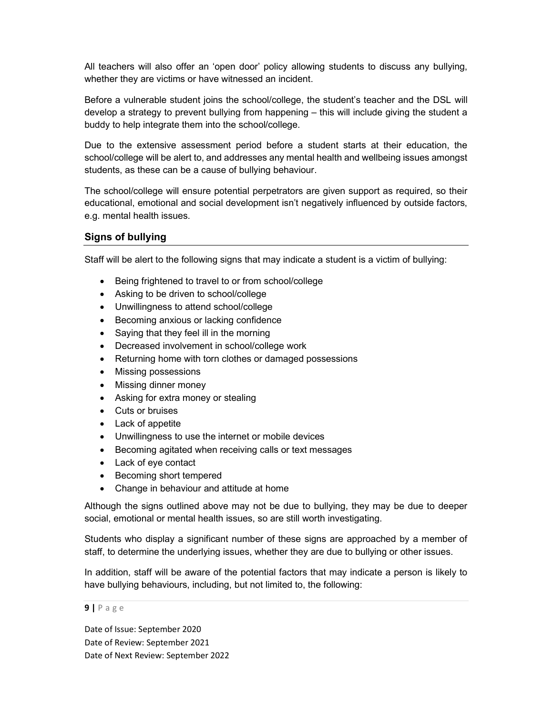All teachers will also offer an 'open door' policy allowing students to discuss any bullying, whether they are victims or have witnessed an incident.

Before a vulnerable student joins the school/college, the student's teacher and the DSL will develop a strategy to prevent bullying from happening – this will include giving the student a buddy to help integrate them into the school/college.

Due to the extensive assessment period before a student starts at their education, the school/college will be alert to, and addresses any mental health and wellbeing issues amongst students, as these can be a cause of bullying behaviour.

The school/college will ensure potential perpetrators are given support as required, so their educational, emotional and social development isn't negatively influenced by outside factors, e.g. mental health issues.

### Signs of bullying

Staff will be alert to the following signs that may indicate a student is a victim of bullying:

- Being frightened to travel to or from school/college
- Asking to be driven to school/college
- Unwillingness to attend school/college
- **Becoming anxious or lacking confidence**
- Saying that they feel ill in the morning
- Decreased involvement in school/college work
- Returning home with torn clothes or damaged possessions
- Missing possessions
- Missing dinner money
- Asking for extra money or stealing
- Cuts or bruises
- Lack of appetite
- Unwillingness to use the internet or mobile devices
- Becoming agitated when receiving calls or text messages
- Lack of eye contact
- Becoming short tempered
- Change in behaviour and attitude at home

Although the signs outlined above may not be due to bullying, they may be due to deeper social, emotional or mental health issues, so are still worth investigating.

Students who display a significant number of these signs are approached by a member of staff, to determine the underlying issues, whether they are due to bullying or other issues.

In addition, staff will be aware of the potential factors that may indicate a person is likely to have bullying behaviours, including, but not limited to, the following:

#### $9$  | P a g e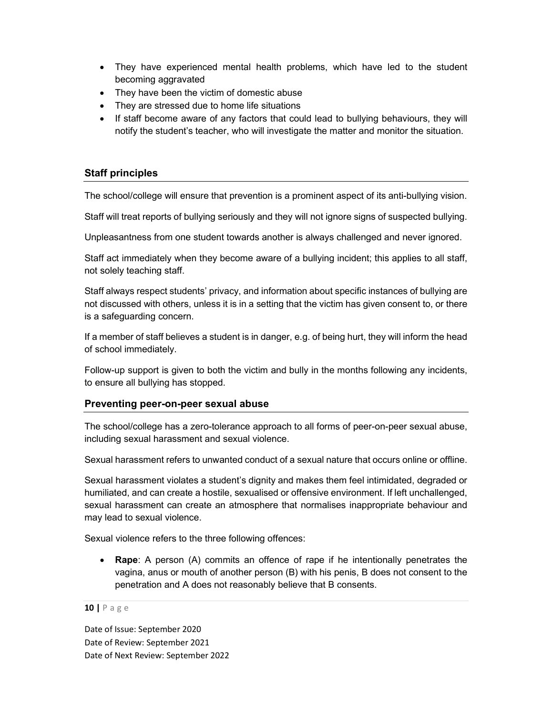- They have experienced mental health problems, which have led to the student becoming aggravated
- They have been the victim of domestic abuse
- They are stressed due to home life situations
- If staff become aware of any factors that could lead to bullying behaviours, they will notify the student's teacher, who will investigate the matter and monitor the situation.

# Staff principles

The school/college will ensure that prevention is a prominent aspect of its anti-bullying vision.

Staff will treat reports of bullying seriously and they will not ignore signs of suspected bullying.

Unpleasantness from one student towards another is always challenged and never ignored.

Staff act immediately when they become aware of a bullying incident; this applies to all staff, not solely teaching staff.

Staff always respect students' privacy, and information about specific instances of bullying are not discussed with others, unless it is in a setting that the victim has given consent to, or there is a safeguarding concern.

If a member of staff believes a student is in danger, e.g. of being hurt, they will inform the head of school immediately.

Follow-up support is given to both the victim and bully in the months following any incidents, to ensure all bullying has stopped.

# Preventing peer-on-peer sexual abuse

The school/college has a zero-tolerance approach to all forms of peer-on-peer sexual abuse, including sexual harassment and sexual violence.

Sexual harassment refers to unwanted conduct of a sexual nature that occurs online or offline.

Sexual harassment violates a student's dignity and makes them feel intimidated, degraded or humiliated, and can create a hostile, sexualised or offensive environment. If left unchallenged, sexual harassment can create an atmosphere that normalises inappropriate behaviour and may lead to sexual violence.

Sexual violence refers to the three following offences:

• Rape: A person (A) commits an offence of rape if he intentionally penetrates the vagina, anus or mouth of another person (B) with his penis, B does not consent to the penetration and A does not reasonably believe that B consents.

#### 10 | P a g e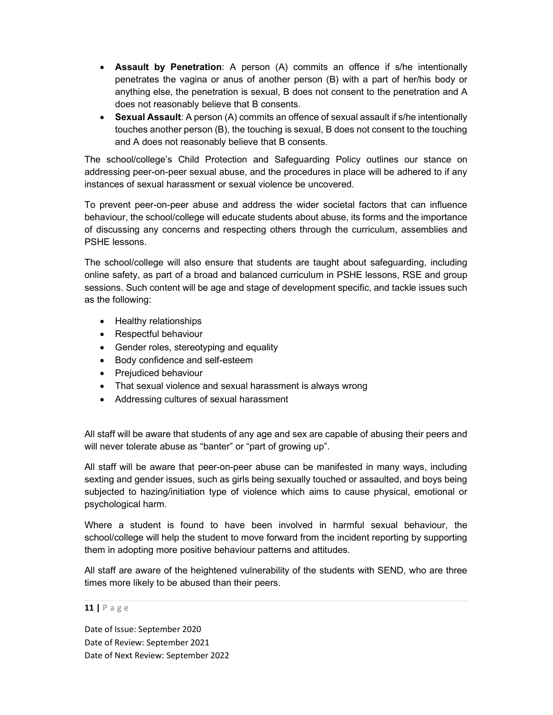- Assault by Penetration: A person (A) commits an offence if s/he intentionally penetrates the vagina or anus of another person (B) with a part of her/his body or anything else, the penetration is sexual, B does not consent to the penetration and A does not reasonably believe that B consents.
- Sexual Assault: A person (A) commits an offence of sexual assault if s/he intentionally touches another person (B), the touching is sexual, B does not consent to the touching and A does not reasonably believe that B consents.

The school/college's Child Protection and Safeguarding Policy outlines our stance on addressing peer-on-peer sexual abuse, and the procedures in place will be adhered to if any instances of sexual harassment or sexual violence be uncovered.

To prevent peer-on-peer abuse and address the wider societal factors that can influence behaviour, the school/college will educate students about abuse, its forms and the importance of discussing any concerns and respecting others through the curriculum, assemblies and PSHE lessons.

The school/college will also ensure that students are taught about safeguarding, including online safety, as part of a broad and balanced curriculum in PSHE lessons, RSE and group sessions. Such content will be age and stage of development specific, and tackle issues such as the following:

- Healthy relationships
- Respectful behaviour
- Gender roles, stereotyping and equality
- Body confidence and self-esteem
- Prejudiced behaviour
- That sexual violence and sexual harassment is always wrong
- Addressing cultures of sexual harassment

All staff will be aware that students of any age and sex are capable of abusing their peers and will never tolerate abuse as "banter" or "part of growing up".

All staff will be aware that peer-on-peer abuse can be manifested in many ways, including sexting and gender issues, such as girls being sexually touched or assaulted, and boys being subjected to hazing/initiation type of violence which aims to cause physical, emotional or psychological harm.

Where a student is found to have been involved in harmful sexual behaviour, the school/college will help the student to move forward from the incident reporting by supporting them in adopting more positive behaviour patterns and attitudes.

All staff are aware of the heightened vulnerability of the students with SEND, who are three times more likely to be abused than their peers.

#### 11 | P a g e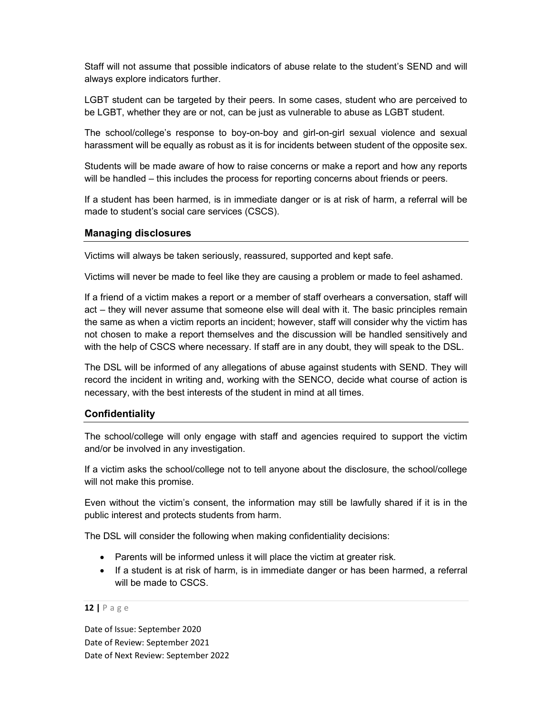Staff will not assume that possible indicators of abuse relate to the student's SEND and will always explore indicators further.

LGBT student can be targeted by their peers. In some cases, student who are perceived to be LGBT, whether they are or not, can be just as vulnerable to abuse as LGBT student.

The school/college's response to boy-on-boy and girl-on-girl sexual violence and sexual harassment will be equally as robust as it is for incidents between student of the opposite sex.

Students will be made aware of how to raise concerns or make a report and how any reports will be handled – this includes the process for reporting concerns about friends or peers.

If a student has been harmed, is in immediate danger or is at risk of harm, a referral will be made to student's social care services (CSCS).

### Managing disclosures

Victims will always be taken seriously, reassured, supported and kept safe.

Victims will never be made to feel like they are causing a problem or made to feel ashamed.

If a friend of a victim makes a report or a member of staff overhears a conversation, staff will act – they will never assume that someone else will deal with it. The basic principles remain the same as when a victim reports an incident; however, staff will consider why the victim has not chosen to make a report themselves and the discussion will be handled sensitively and with the help of CSCS where necessary. If staff are in any doubt, they will speak to the DSL.

The DSL will be informed of any allegations of abuse against students with SEND. They will record the incident in writing and, working with the SENCO, decide what course of action is necessary, with the best interests of the student in mind at all times.

### **Confidentiality**

The school/college will only engage with staff and agencies required to support the victim and/or be involved in any investigation.

If a victim asks the school/college not to tell anyone about the disclosure, the school/college will not make this promise.

Even without the victim's consent, the information may still be lawfully shared if it is in the public interest and protects students from harm.

The DSL will consider the following when making confidentiality decisions:

- Parents will be informed unless it will place the victim at greater risk.
- If a student is at risk of harm, is in immediate danger or has been harmed, a referral will be made to CSCS.

#### 12 | P a g e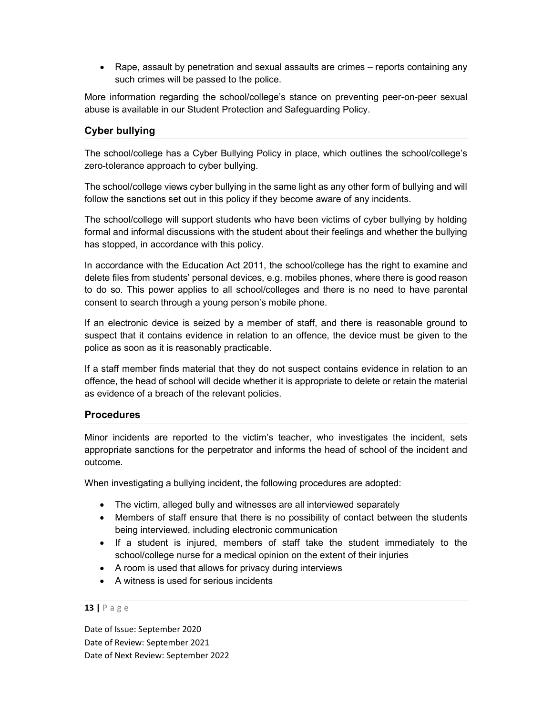• Rape, assault by penetration and sexual assaults are crimes – reports containing any such crimes will be passed to the police.

More information regarding the school/college's stance on preventing peer-on-peer sexual abuse is available in our Student Protection and Safeguarding Policy.

# Cyber bullying

The school/college has a Cyber Bullying Policy in place, which outlines the school/college's zero-tolerance approach to cyber bullying.

The school/college views cyber bullying in the same light as any other form of bullying and will follow the sanctions set out in this policy if they become aware of any incidents.

The school/college will support students who have been victims of cyber bullying by holding formal and informal discussions with the student about their feelings and whether the bullying has stopped, in accordance with this policy.

In accordance with the Education Act 2011, the school/college has the right to examine and delete files from students' personal devices, e.g. mobiles phones, where there is good reason to do so. This power applies to all school/colleges and there is no need to have parental consent to search through a young person's mobile phone.

If an electronic device is seized by a member of staff, and there is reasonable ground to suspect that it contains evidence in relation to an offence, the device must be given to the police as soon as it is reasonably practicable.

If a staff member finds material that they do not suspect contains evidence in relation to an offence, the head of school will decide whether it is appropriate to delete or retain the material as evidence of a breach of the relevant policies.

### **Procedures**

Minor incidents are reported to the victim's teacher, who investigates the incident, sets appropriate sanctions for the perpetrator and informs the head of school of the incident and outcome.

When investigating a bullying incident, the following procedures are adopted:

- The victim, alleged bully and witnesses are all interviewed separately
- Members of staff ensure that there is no possibility of contact between the students being interviewed, including electronic communication
- If a student is injured, members of staff take the student immediately to the school/college nurse for a medical opinion on the extent of their injuries
- A room is used that allows for privacy during interviews
- A witness is used for serious incidents

#### 13 | P a g e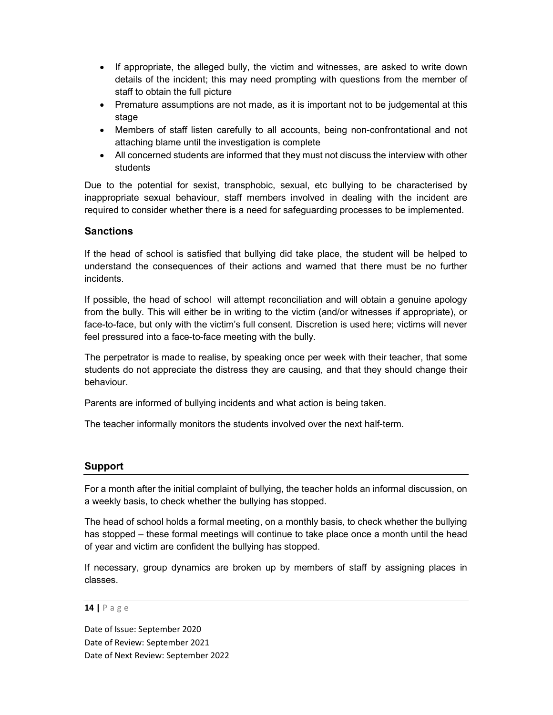- If appropriate, the alleged bully, the victim and witnesses, are asked to write down details of the incident; this may need prompting with questions from the member of staff to obtain the full picture
- Premature assumptions are not made, as it is important not to be judgemental at this stage
- Members of staff listen carefully to all accounts, being non-confrontational and not attaching blame until the investigation is complete
- All concerned students are informed that they must not discuss the interview with other students

Due to the potential for sexist, transphobic, sexual, etc bullying to be characterised by inappropriate sexual behaviour, staff members involved in dealing with the incident are required to consider whether there is a need for safeguarding processes to be implemented.

# **Sanctions**

If the head of school is satisfied that bullying did take place, the student will be helped to understand the consequences of their actions and warned that there must be no further incidents.

If possible, the head of school will attempt reconciliation and will obtain a genuine apology from the bully. This will either be in writing to the victim (and/or witnesses if appropriate), or face-to-face, but only with the victim's full consent. Discretion is used here; victims will never feel pressured into a face-to-face meeting with the bully.

The perpetrator is made to realise, by speaking once per week with their teacher, that some students do not appreciate the distress they are causing, and that they should change their behaviour.

Parents are informed of bullying incidents and what action is being taken.

The teacher informally monitors the students involved over the next half-term.

### Support

For a month after the initial complaint of bullying, the teacher holds an informal discussion, on a weekly basis, to check whether the bullying has stopped.

The head of school holds a formal meeting, on a monthly basis, to check whether the bullying has stopped – these formal meetings will continue to take place once a month until the head of year and victim are confident the bullying has stopped.

If necessary, group dynamics are broken up by members of staff by assigning places in classes.

#### 14 | P a g e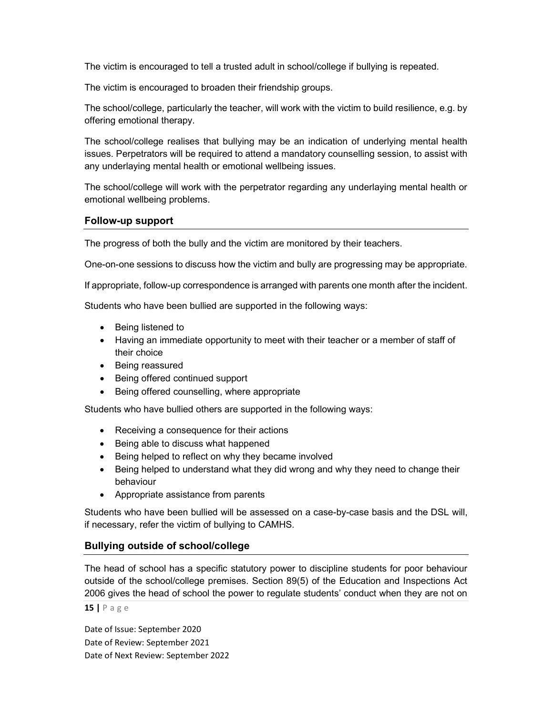The victim is encouraged to tell a trusted adult in school/college if bullying is repeated.

The victim is encouraged to broaden their friendship groups.

The school/college, particularly the teacher, will work with the victim to build resilience, e.g. by offering emotional therapy.

The school/college realises that bullying may be an indication of underlying mental health issues. Perpetrators will be required to attend a mandatory counselling session, to assist with any underlaying mental health or emotional wellbeing issues.

The school/college will work with the perpetrator regarding any underlaying mental health or emotional wellbeing problems.

### Follow-up support

The progress of both the bully and the victim are monitored by their teachers.

One-on-one sessions to discuss how the victim and bully are progressing may be appropriate.

If appropriate, follow-up correspondence is arranged with parents one month after the incident.

Students who have been bullied are supported in the following ways:

- Being listened to
- Having an immediate opportunity to meet with their teacher or a member of staff of their choice
- Being reassured
- Being offered continued support
- Being offered counselling, where appropriate

Students who have bullied others are supported in the following ways:

- Receiving a consequence for their actions
- Being able to discuss what happened
- Being helped to reflect on why they became involved
- Being helped to understand what they did wrong and why they need to change their behaviour
- Appropriate assistance from parents

Students who have been bullied will be assessed on a case-by-case basis and the DSL will, if necessary, refer the victim of bullying to CAMHS.

# Bullying outside of school/college

The head of school has a specific statutory power to discipline students for poor behaviour outside of the school/college premises. Section 89(5) of the Education and Inspections Act 2006 gives the head of school the power to regulate students' conduct when they are not on

15 | P a g e